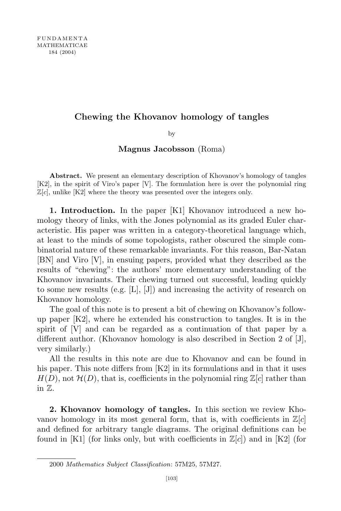## Chewing the Khovanov homology of tangles

by

Magnus Jacobsson (Roma)

Abstract. We present an elementary description of Khovanov's homology of tangles [K2], in the spirit of Viro's paper [V]. The formulation here is over the polynomial ring  $\mathbb{Z}[c]$ , unlike [K2] where the theory was presented over the integers only.

1. Introduction. In the paper [K1] Khovanov introduced a new homology theory of links, with the Jones polynomial as its graded Euler characteristic. His paper was written in a category-theoretical language which, at least to the minds of some topologists, rather obscured the simple combinatorial nature of these remarkable invariants. For this reason, Bar-Natan [BN] and Viro [V], in ensuing papers, provided what they described as the results of "chewing": the authors' more elementary understanding of the Khovanov invariants. Their chewing turned out successful, leading quickly to some new results (e.g.  $[L], [J]$ ) and increasing the activity of research on Khovanov homology.

The goal of this note is to present a bit of chewing on Khovanov's followup paper [K2], where he extended his construction to tangles. It is in the spirit of [V] and can be regarded as a continuation of that paper by a different author. (Khovanov homology is also described in Section 2 of [J], very similarly.)

All the results in this note are due to Khovanov and can be found in his paper. This note differs from [K2] in its formulations and in that it uses  $H(D)$ , not  $\mathcal{H}(D)$ , that is, coefficients in the polynomial ring  $\mathbb{Z}[c]$  rather than in Z.

2. Khovanov homology of tangles. In this section we review Khovanov homology in its most general form, that is, with coefficients in  $\mathbb{Z}[c]$ and defined for arbitrary tangle diagrams. The original definitions can be found in [K1] (for links only, but with coefficients in  $\mathbb{Z}[c]$ ) and in [K2] (for

<sup>2000</sup> Mathematics Subject Classification: 57M25, 57M27.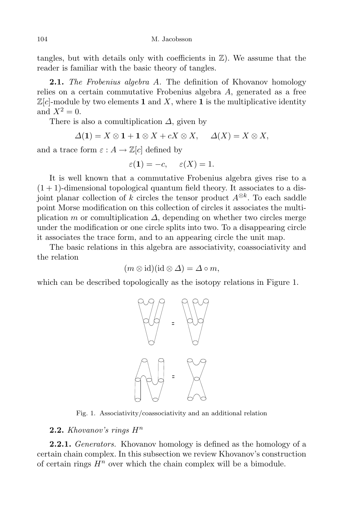tangles, but with details only with coefficients in  $\mathbb{Z}$ ). We assume that the reader is familiar with the basic theory of tangles.

**2.1.** The Frobenius algebra A. The definition of Khovanov homology relies on a certain commutative Frobenius algebra A, generated as a free  $\mathbb{Z}[c]$ -module by two elements 1 and X, where 1 is the multiplicative identity and  $X^2=0$ .

There is also a comultiplication  $\Delta$ , given by

$$
\Delta(\mathbf{1}) = X \otimes \mathbf{1} + \mathbf{1} \otimes X + cX \otimes X, \quad \Delta(X) = X \otimes X,
$$

and a trace form  $\varepsilon : A \to \mathbb{Z}[c]$  defined by

$$
\varepsilon(1) = -c, \quad \varepsilon(X) = 1.
$$

It is well known that a commutative Frobenius algebra gives rise to a  $(1 + 1)$ -dimensional topological quantum field theory. It associates to a disjoint planar collection of k circles the tensor product  $A^{\otimes k}$ . To each saddle point Morse modification on this collection of circles it associates the multiplication m or comultiplication  $\Delta$ , depending on whether two circles merge under the modification or one circle splits into two. To a disappearing circle it associates the trace form, and to an appearing circle the unit map.

The basic relations in this algebra are associativity, coassociativity and the relation

$$
(m \otimes id)(id \otimes \Delta) = \Delta \circ m,
$$

which can be described topologically as the isotopy relations in Figure 1.



Fig. 1. Associativity/coassociativity and an additional relation

# **2.2.** Khovanov's rings  $H^n$

**2.2.1.** Generators. Khovanov homology is defined as the homology of a certain chain complex. In this subsection we review Khovanov's construction of certain rings  $H^n$  over which the chain complex will be a bimodule.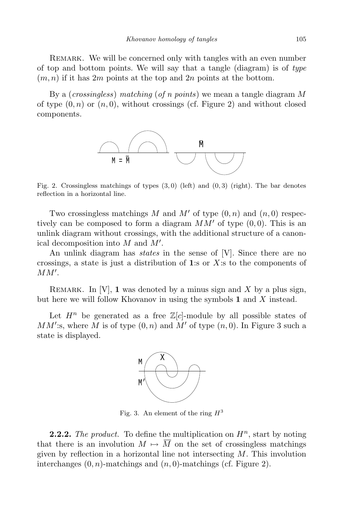REMARK. We will be concerned only with tangles with an even number of top and bottom points. We will say that a tangle (diagram) is of type  $(m, n)$  if it has 2m points at the top and 2n points at the bottom.

By a (crossingless) matching (of n points) we mean a tangle diagram M of type  $(0, n)$  or  $(n, 0)$ , without crossings (cf. Figure 2) and without closed components.



Fig. 2. Crossingless matchings of types  $(3,0)$  (left) and  $(0,3)$  (right). The bar denotes reflection in a horizontal line.

Two crossingless matchings M and M' of type  $(0, n)$  and  $(n, 0)$  respectively can be composed to form a diagram  $MM'$  of type  $(0, 0)$ . This is an unlink diagram without crossings, with the additional structure of a canonical decomposition into  $M$  and  $M'$ .

An unlink diagram has *states* in the sense of [V]. Since there are no crossings, a state is just a distribution of 1:s or  $X$ :s to the components of  $MM^{\prime}.$ 

REMARK. In  $[V]$ , 1 was denoted by a minus sign and X by a plus sign, but here we will follow Khovanov in using the symbols  $\bf{1}$  and  $\bf{X}$  instead.

Let  $H^n$  be generated as a free  $\mathbb{Z}[c]$ -module by all possible states of  $MM'$ :s, where M is of type  $(0, n)$  and  $M'$  of type  $(n, 0)$ . In Figure 3 such a state is displayed.



Fig. 3. An element of the ring  $H^3$ 

**2.2.2.** The product. To define the multiplication on  $H^n$ , start by noting that there is an involution  $M \mapsto \overline{M}$  on the set of crossingless matchings given by reflection in a horizontal line not intersecting  $M$ . This involution interchanges  $(0, n)$ -matchings and  $(n, 0)$ -matchings (cf. Figure 2).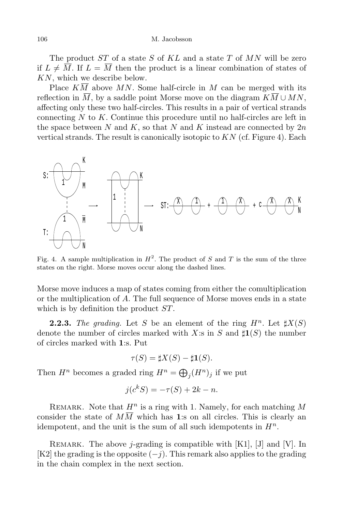The product  $ST$  of a state S of  $KL$  and a state T of MN will be zero if  $L \neq \overline{M}$ . If  $L = \overline{M}$  then the product is a linear combination of states of KN, which we describe below.

Place  $K\overline{M}$  above MN. Some half-circle in M can be merged with its reflection in  $\overline{M}$ , by a saddle point Morse move on the diagram  $K\overline{M} \cup MN$ , affecting only these two half-circles. This results in a pair of vertical strands connecting  $N$  to  $K$ . Continue this procedure until no half-circles are left in the space between  $N$  and  $K$ , so that  $N$  and  $K$  instead are connected by  $2n$ vertical strands. The result is canonically isotopic to  $KN$  (cf. Figure 4). Each



Fig. 4. A sample multiplication in  $H^2$ . The product of S and T is the sum of the three states on the right. Morse moves occur along the dashed lines.

Morse move induces a map of states coming from either the comultiplication or the multiplication of A. The full sequence of Morse moves ends in a state which is by definition the product  $ST$ .

**2.2.3.** The grading. Let S be an element of the ring  $H^n$ . Let  $\sharp X(S)$ denote the number of circles marked with X:s in S and  $\sharp \mathbf{1}(S)$  the number of circles marked with 1:s. Put

$$
\tau(S) = \sharp X(S) - \sharp \mathbf{1}(S).
$$

Then  $H^n$  becomes a graded ring  $H^n = \bigoplus_j (H^n)_j$  if we put

$$
j(c^kS) = -\tau(S) + 2k - n.
$$

REMARK. Note that  $H^n$  is a ring with 1. Namely, for each matching M consider the state of  $M\overline{M}$  which has 1:s on all circles. This is clearly an idempotent, and the unit is the sum of all such idempotents in  $H<sup>n</sup>$ .

REMARK. The above *j*-grading is compatible with  $[K1]$ ,  $[J]$  and  $[V]$ . In [K2] the grading is the opposite  $(-j)$ . This remark also applies to the grading in the chain complex in the next section.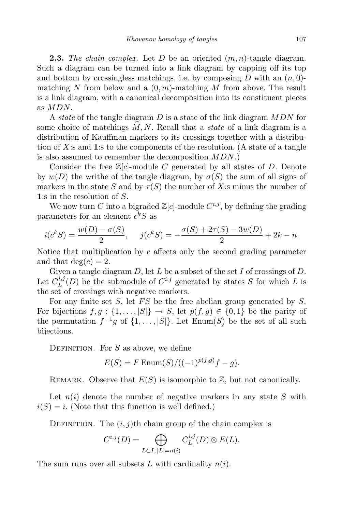**2.3.** The chain complex. Let D be an oriented  $(m, n)$ -tangle diagram. Such a diagram can be turned into a link diagram by capping off its top and bottom by crossingless matchings, i.e. by composing D with an  $(n, 0)$ matching N from below and a  $(0, m)$ -matching M from above. The result is a link diagram, with a canonical decomposition into its constituent pieces as MDN.

A state of the tangle diagram D is a state of the link diagram  $MDN$  for some choice of matchings  $M, N$ . Recall that a *state* of a link diagram is a distribution of Kauffman markers to its crossings together with a distribution of  $X$ :s and 1:s to the components of the resolution. (A state of a tangle is also assumed to remember the decomposition  $MDN$ .)

Consider the free  $\mathbb{Z}[c]$ -module C generated by all states of D. Denote by  $w(D)$  the writhe of the tangle diagram, by  $\sigma(S)$  the sum of all signs of markers in the state S and by  $\tau(S)$  the number of X:s minus the number of 1:s in the resolution of S.

We now turn C into a bigraded  $\mathbb{Z}[c]$ -module  $C^{i,j}$ , by defining the grading parameters for an element  $c^kS$  as

$$
i(c^{k}S) = \frac{w(D) - \sigma(S)}{2}, \quad j(c^{k}S) = -\frac{\sigma(S) + 2\tau(S) - 3w(D)}{2} + 2k - n.
$$

Notice that multiplication by  $c$  affects only the second grading parameter and that  $deg(c) = 2$ .

Given a tangle diagram  $D$ , let  $L$  be a subset of the set  $I$  of crossings of  $D$ . Let  $C_L^{i,j}$  $L^{i,j}(D)$  be the submodule of  $C^{i,j}$  generated by states S for which L is the set of crossings with negative markers.

For any finite set  $S$ , let  $FS$  be the free abelian group generated by  $S$ . For bijections  $f, g : \{1, \ldots, |S|\} \to S$ , let  $p(f, g) \in \{0, 1\}$  be the parity of the permutation  $f^{-1}g$  of  $\{1,\ldots,|S|\}$ . Let Enum(S) be the set of all such bijections.

DEFINITION. For  $S$  as above, we define

$$
E(S) = F \operatorname{Enum}(S) / ((-1)^{p(f,g)} f - g).
$$

REMARK. Observe that  $E(S)$  is isomorphic to  $\mathbb{Z}$ , but not canonically.

Let  $n(i)$  denote the number of negative markers in any state S with  $i(S) = i$ . (Note that this function is well defined.)

DEFINITION. The  $(i, j)$ th chain group of the chain complex is

$$
C^{i,j}(D) = \bigoplus_{L \subset I, |L|=n(i)} C^{i,j}_L(D) \otimes E(L).
$$

The sum runs over all subsets L with cardinality  $n(i)$ .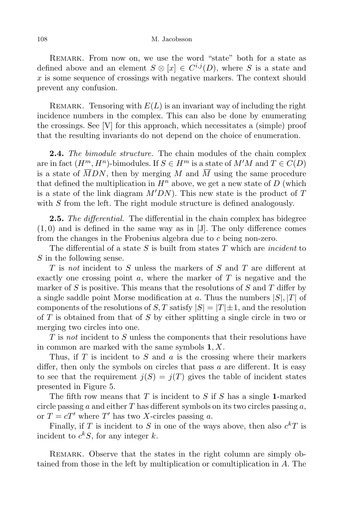### 108 M. Jacobsson

REMARK. From now on, we use the word "state" both for a state as defined above and an element  $S \otimes [x] \in C^{i,j}(D)$ , where S is a state and  $x$  is some sequence of crossings with negative markers. The context should prevent any confusion.

REMARK. Tensoring with  $E(L)$  is an invariant way of including the right incidence numbers in the complex. This can also be done by enumerating the crossings. See [V] for this approach, which necessitates a (simple) proof that the resulting invariants do not depend on the choice of enumeration.

**2.4.** The bimodule structure. The chain modules of the chain complex are in fact  $(H^m, H^n)$ -bimodules. If  $S \in H^m$  is a state of  $M'M$  and  $T \in C(D)$ is a state of  $\overline{M}DN$ , then by merging M and  $\overline{M}$  using the same procedure that defined the multiplication in  $H^n$  above, we get a new state of D (which is a state of the link diagram  $M'DN$ . This new state is the product of  $T$ with S from the left. The right module structure is defined analogously.

**2.5.** The differential. The differential in the chain complex has bidegree  $(1,0)$  and is defined in the same way as in [J]. The only difference comes from the changes in the Frobenius algebra due to c being non-zero.

The differential of a state  $S$  is built from states  $T$  which are *incident* to S in the following sense.

T is not incident to S unless the markers of S and T are different at exactly one crossing point  $a$ , where the marker of  $T$  is negative and the marker of  $S$  is positive. This means that the resolutions of  $S$  and  $T$  differ by a single saddle point Morse modification at a. Thus the numbers  $|S|, |T|$  of components of the resolutions of S, T satisfy  $|S| = |T| \pm 1$ , and the resolution of  $T$  is obtained from that of  $S$  by either splitting a single circle in two or merging two circles into one.

 $T$  is not incident to  $S$  unless the components that their resolutions have in common are marked with the same symbols  $1, X$ .

Thus, if  $T$  is incident to  $S$  and  $a$  is the crossing where their markers differ, then only the symbols on circles that pass a are different. It is easy to see that the requirement  $j(S) = j(T)$  gives the table of incident states presented in Figure 5.

The fifth row means that  $T$  is incident to  $S$  if  $S$  has a single 1-marked circle passing a and either  $T$  has different symbols on its two circles passing  $a$ , or  $T = cT'$  where T' has two X-circles passing a.

Finally, if T is incident to S in one of the ways above, then also  $c<sup>k</sup>T$  is incident to  $c^k S$ , for any integer k.

REMARK. Observe that the states in the right column are simply obtained from those in the left by multiplication or comultiplication in A. The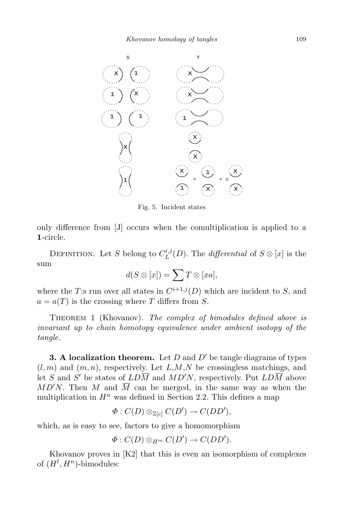

Fig. 5. Incident states

only difference from [J] occurs when the comultiplication is applied to a 1-circle.

DEFINITION. Let S belong to  $C_L^{i,j}$  $L^{u,j}(D)$ . The *differential* of  $S \otimes [x]$  is the sum

$$
d(S \otimes [x]) = \sum T \otimes [xa],
$$

where the T:s run over all states in  $C^{i+1,j}(D)$  which are incident to S, and  $a = a(T)$  is the crossing where T differs from S.

THEOREM 1 (Khovanov). The complex of bimodules defined above is invariant up to chain homotopy equivalence under ambient isotopy of the tangle.

**3. A localization theorem.** Let D and  $D'$  be tangle diagrams of types  $(l, m)$  and  $(m, n)$ , respectively. Let  $L, M, N$  be crossingless matchings, and let S and S' be states of  $LDM$  and  $MD'N$ , respectively. Put  $LDM$  above  $MD'N$ . Then M and  $\overline{M}$  can be merged, in the same way as when the multiplication in  $H^n$  was defined in Section 2.2. This defines a map

$$
\Phi: C(D) \otimes_{\mathbb{Z}[c]} C(D') \to C(DD'),
$$

which, as is easy to see, factors to give a homomorphism

$$
\Phi: C(D) \otimes_{H^m} C(D') \to C(DD').
$$

Khovanov proves in [K2] that this is even an isomorphism of complexes of  $(H^l, H^n)$ -bimodules: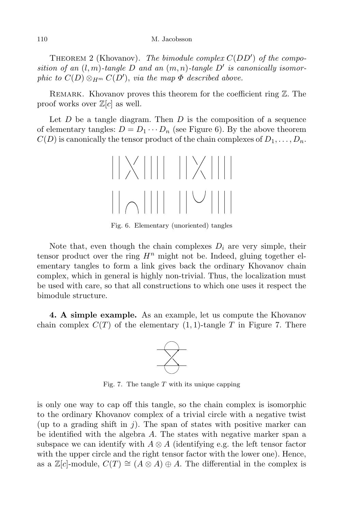THEOREM 2 (Khovanov). The bimodule complex  $C(DD')$  of the composition of an  $(l,m)$ -tangle D and an  $(m,n)$ -tangle D' is canonically isomorphic to  $C(D) \otimes_{H^m} C(D')$ , via the map  $\Phi$  described above.

REMARK. Khovanov proves this theorem for the coefficient ring  $\mathbb{Z}$ . The proof works over  $\mathbb{Z}[c]$  as well.

Let  $D$  be a tangle diagram. Then  $D$  is the composition of a sequence of elementary tangles:  $D = D_1 \cdots D_n$  (see Figure 6). By the above theorem  $C(D)$  is canonically the tensor product of the chain complexes of  $D_1, \ldots, D_n$ .



Fig. 6. Elementary (unoriented) tangles

Note that, even though the chain complexes  $D_i$  are very simple, their tensor product over the ring  $H^n$  might not be. Indeed, gluing together elementary tangles to form a link gives back the ordinary Khovanov chain complex, which in general is highly non-trivial. Thus, the localization must be used with care, so that all constructions to which one uses it respect the bimodule structure.

4. A simple example. As an example, let us compute the Khovanov chain complex  $C(T)$  of the elementary (1, 1)-tangle T in Figure 7. There



Fig. 7. The tangle  $T$  with its unique capping

is only one way to cap off this tangle, so the chain complex is isomorphic to the ordinary Khovanov complex of a trivial circle with a negative twist (up to a grading shift in j). The span of states with positive marker can be identified with the algebra  $A$ . The states with negative marker span a subspace we can identify with  $A \otimes A$  (identifying e.g. the left tensor factor with the upper circle and the right tensor factor with the lower one). Hence, as a  $\mathbb{Z}[c]$ -module,  $C(T) \cong (A \otimes A) \oplus A$ . The differential in the complex is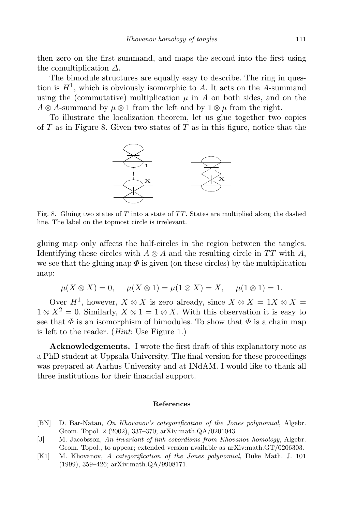then zero on the first summand, and maps the second into the first using the comultiplication  $\Delta$ .

The bimodule structures are equally easy to describe. The ring in question is  $H<sup>1</sup>$ , which is obviously isomorphic to A. It acts on the A-summand using the (commutative) multiplication  $\mu$  in A on both sides, and on the  $A \otimes A$ -summand by  $\mu \otimes 1$  from the left and by  $1 \otimes \mu$  from the right.

To illustrate the localization theorem, let us glue together two copies of  $T$  as in Figure 8. Given two states of  $T$  as in this figure, notice that the



Fig. 8. Gluing two states of  $T$  into a state of  $TT$ . States are multiplied along the dashed line. The label on the topmost circle is irrelevant.

gluing map only affects the half-circles in the region between the tangles. Identifying these circles with  $A \otimes A$  and the resulting circle in TT with A, we see that the gluing map  $\Phi$  is given (on these circles) by the multiplication map:

$$
\mu(X \otimes X) = 0
$$
,  $\mu(X \otimes 1) = \mu(1 \otimes X) = X$ ,  $\mu(1 \otimes 1) = 1$ .

Over  $H^1$ , however,  $X \otimes X$  is zero already, since  $X \otimes X = 1X \otimes X =$  $1 \otimes X^2 = 0$ . Similarly,  $X \otimes 1 = 1 \otimes X$ . With this observation it is easy to see that  $\Phi$  is an isomorphism of bimodules. To show that  $\Phi$  is a chain map is left to the reader. (Hint: Use Figure 1.)

Acknowledgements. I wrote the first draft of this explanatory note as a PhD student at Uppsala University. The final version for these proceedings was prepared at Aarhus University and at INdAM. I would like to thank all three institutions for their financial support.

### References

- [BN] D. Bar-Natan, On Khovanov's categorification of the Jones polynomial, Algebr. Geom. Topol. 2 (2002), 337–370; arXiv:math.QA/0201043.
- [J] M. Jacobsson, An invariant of link cobordisms from Khovanov homology, Algebr. Geom. Topol., to appear; extended version available as arXiv:math.GT/0206303.
- [K1] M. Khovanov, A categorification of the Jones polynomial, Duke Math. J. 101 (1999), 359–426; arXiv:math.QA/9908171.